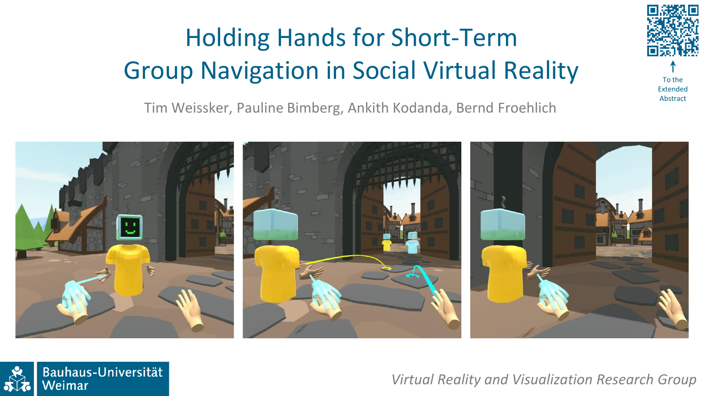# Holding Hands for Short-Term Group Navigation in Social Virtual Reality







*Virtual Reality and Visualization Research Group*



To the Extended Abstract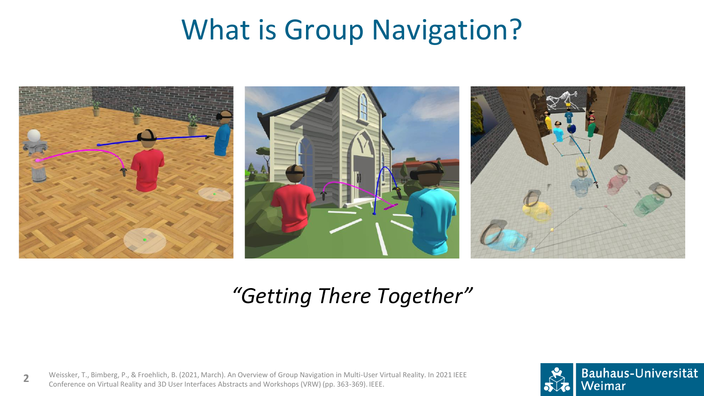# What is Group Navigation?



#### *"Getting There Together"*

Weissker, T., Bimberg, P., & Froehlich, B. (2021, March). An Overview of Group Navigation in Multi-User Virtual Reality. In 2021 IEEE Conference on Virtual Reality and 3D User Interfaces Abstracts and Workshops (VRW) (pp. 363-369). IEEE. **2**

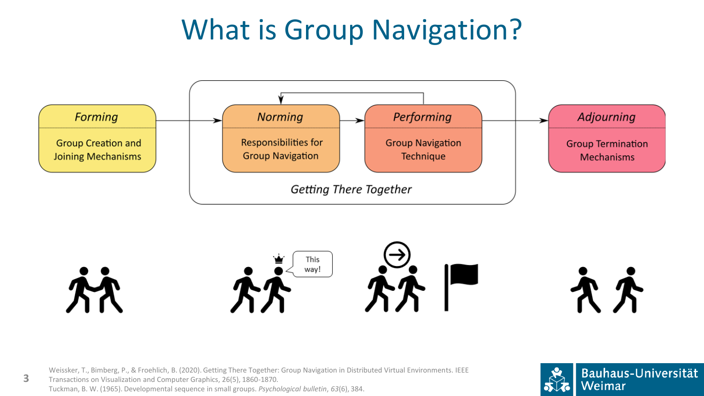# What is Group Navigation?





Weissker, T., Bimberg, P., & Froehlich, B. (2020). Getting There Together: Group Navigation in Distributed Virtual Environments. IEEE Transactions on Visualization and Computer Graphics, 26(5), 1860-1870. Tuckman, B. W. (1965). Developmental sequence in small groups. *Psychological bulletin*, *63*(6), 384.

**3**



文大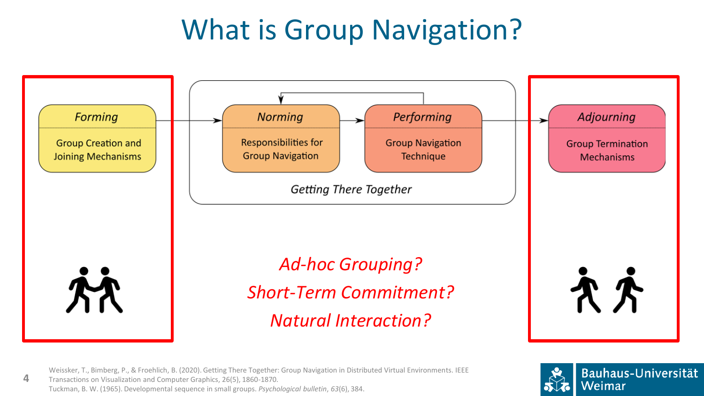# What is Group Navigation?



Weissker, T., Bimberg, P., & Froehlich, B. (2020). Getting There Together: Group Navigation in Distributed Virtual Environments. IEEE Transactions on Visualization and Computer Graphics, 26(5), 1860-1870. Tuckman, B. W. (1965). Developmental sequence in small groups. *Psychological bulletin*, *63*(6), 384.

**4**

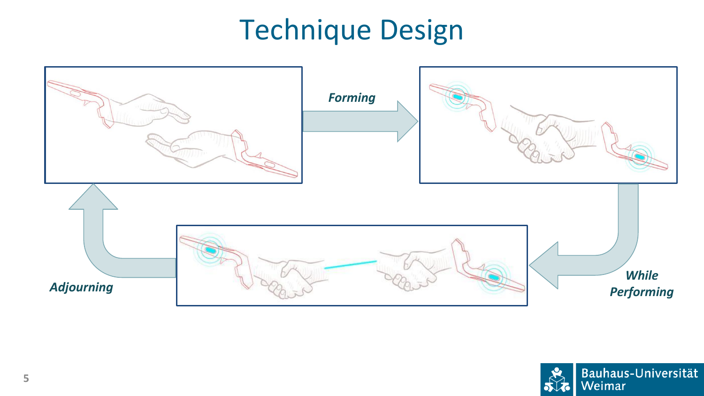# Technique Design



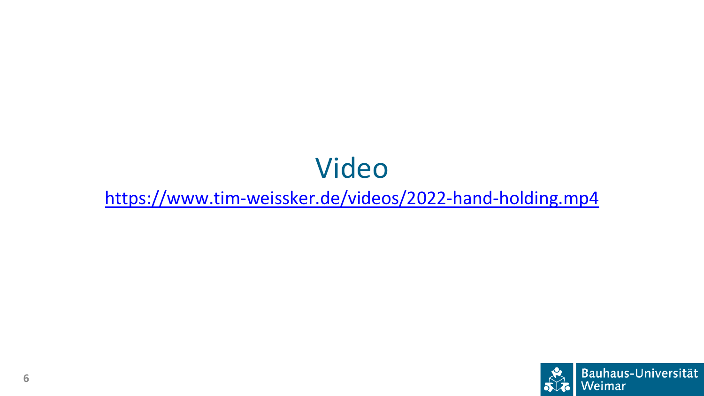# Video

<https://www.tim-weissker.de/videos/2022-hand-holding.mp4>

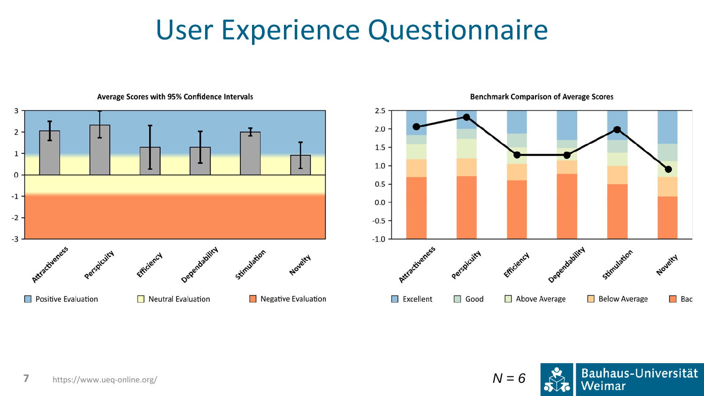#### User Experience Questionnaire



#### Average Scores with 95% Confidence Intervals

**Benchmark Comparison of Average Scores** 



Stimulation

**Below Average** 

Novelty

 $\Box$  Bad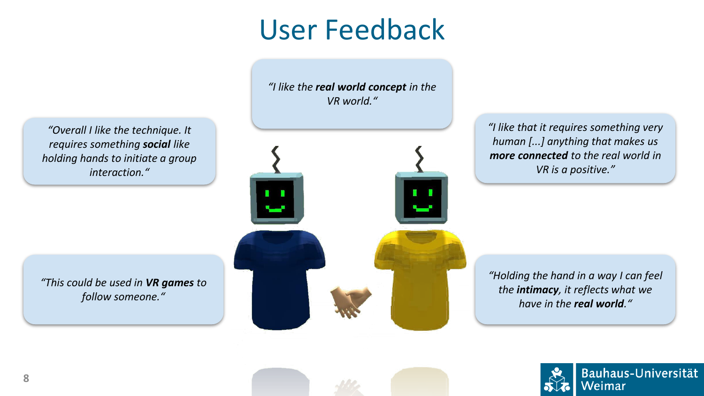### User Feedback

*"I like the real world concept in the VR world."*



*"I like that it requires something very human [...] anything that makes us more connected to the real world in VR is a positive."*

*"Holding the hand in a way I can feel the intimacy, it reflects what we have in the real world."*



Bauhaus-Universität Weimar

*"Overall I like the technique. It requires something social like holding hands to initiate a group interaction."*

*"This could be used in VR games to follow someone."*